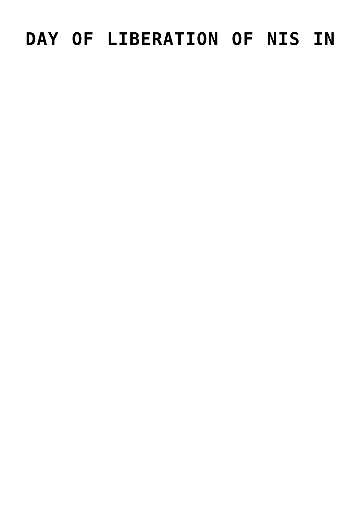## **[DAY OF LIBERATION OF NIS IN](https://www.gu.ni.rs/2019/10/14/day-of-liberation-of-nis-in-second-world-war-marked/) [SECOND WORLD WAR MARKED](https://www.gu.ni.rs/2019/10/14/day-of-liberation-of-nis-in-second-world-war-marked/)**

October 14

By laying flower wreaths at the Monument to Liberators at the central city square and at the memorial complex Bubanj, the anniversary of the liberation of Nis in the Second World War was marked. City of Nis delegation, led by Nis City Mayor Darko Bulatovic paid their respects together with the delegations of the Serbian Armed Forces, the Ministry of the Interior, the Nisava District and the Association for the Conservation of the Traditions of the Liberation Wars of Serbia. Nis was freed on October 14, 1944, when the 22nd Division of the People's Liberation Movement entered the city and attacked the German troops from the south.

## **[CITY OF NIS PROMOTES EUROPEAN](https://www.gu.ni.rs/2019/10/11/city-of-nis-promotes-european-local-democracy-week/) [LOCAL DEMOCRACY WEEK](https://www.gu.ni.rs/2019/10/11/city-of-nis-promotes-european-local-democracy-week/)**

The European Local Democracy Week (ELDW) is a pan-European event which aims at boosting local democracy and citizen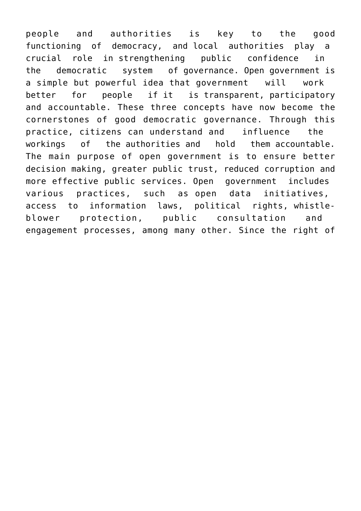people and authorities is key to the good functioning of democracy, and local authorities play a crucial role in strengthening public confidence in the democratic system of governance. Open government is a simple but powerful idea that government will work better for people if it is transparent, participatory and accountable. These three concepts have now become the cornerstones of good democratic governance. Through this practice, citizens can understand and influence the workings of the authorities and hold them accountable. The main purpose of open government is to ensure better decision making, greater public trust, reduced corruption and more effective public services. Open government includes various practices, such as open data initiatives, access to information laws, political rights, whistleblower protection, public consultation and engagement processes, among many other. Since the right of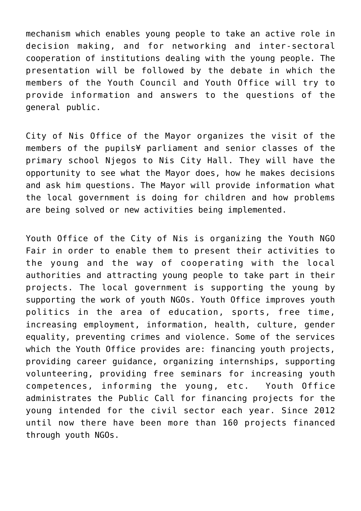mechanism which enables young people to take an active role in decision making, and for networking and inter-sectoral cooperation of institutions dealing with the young people. The presentation will be followed by the debate in which the members of the Youth Council and Youth Office will try to provide information and answers to the questions of the general public.

City of Nis Office of the Mayor organizes the visit of the members of the pupils parliament and senior classes of the primary school Njegos to Nis City Hall. They will have the opportunity to see what the Mayor does, how he makes decisions and ask him questions. The Mayor will provide information what the local government is doing for children and how problems are being solved or new activities being implemented.

Youth Office of the City of Nis is organizing the Youth NGO Fair in order to enable them to present their activities to the young and the way of cooperating with the local authorities and attracting young people to take part in their projects. The local government is supporting the young by supporting the work of youth NGOs. Youth Office improves youth politics in the area of education, sports, free time, increasing employment, information, health, culture, gender equality, preventing crimes and violence. Some of the services which the Youth Office provides are: financing youth projects, providing career guidance, organizing internships, supporting volunteering, providing free seminars for increasing youth competences, informing the young, etc. Youth Office administrates the Public Call for financing projects for the young intended for the civil sector each year. Since 2012 until now there have been more than 160 projects financed through youth NGOs.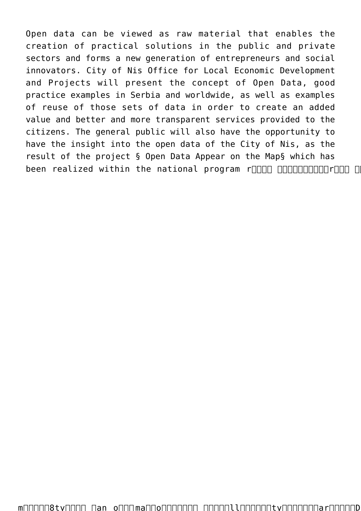Open data can be viewed as raw material that enables the creation of practical solutions in the public and private sectors and forms a new generation of entrepreneurs and social innovators. City of Nis Office for Local Economic Development and Projects will present the concept of Open Data, good practice examples in Serbia and worldwide, as well as examples of reuse of those sets of data in order to create an added value and better and more transparent services provided to the citizens. The general public will also have the opportunity to have the insight into the open data of the City of Nis, as the result of the project Open Data Appear on the Map which has been realized within the national program r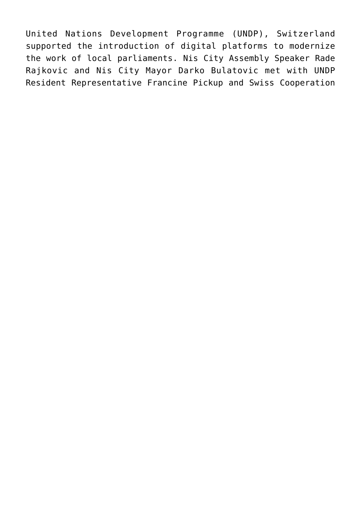United Nations Development Programme (UNDP), Switzerland supported the introduction of digital platforms to modernize the work of local parliaments. Nis City Assembly Speaker Rade Rajkovic and Nis City Mayor Darko Bulatovic met with UNDP Resident Representative Francine Pickup and Swiss Cooperation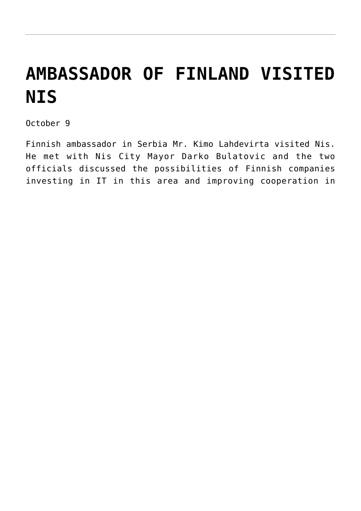## **[AMBASSADOR OF FINLAND VISITED](https://www.gu.ni.rs/2019/10/09/ambassador-of-finland-visited-nis-2/) [NIS](https://www.gu.ni.rs/2019/10/09/ambassador-of-finland-visited-nis-2/)**

October 9

Finnish ambassador in Serbia Mr. Kimo Lahdevirta visited Nis. He met with Nis City Mayor Darko Bulatovic and the two officials discussed the possibilities of Finnish companies investing in IT in this area and improving cooperation in other areas with this Scandinavian country.ry.two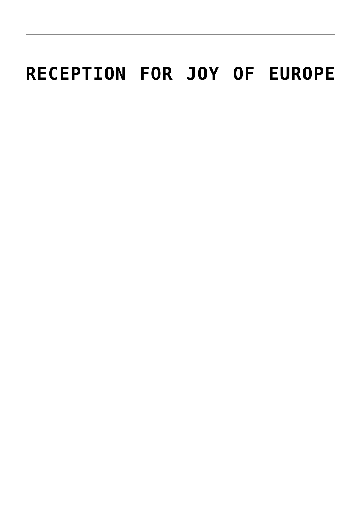## **[RECEPTION FOR JOY OF EUROPE](https://www.gu.ni.rs/2019/10/07/reception-for-joy-of-europe-frstival-participants-and-guests/)**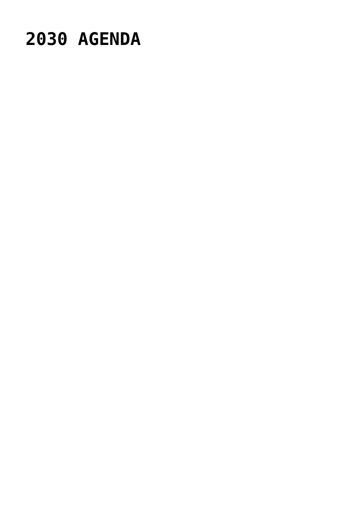### **[2030 AGENDA](https://www.gu.ni.rs/2019/09/25/localization-of-sustainable-development-goals-achieving-2030-agenda/)**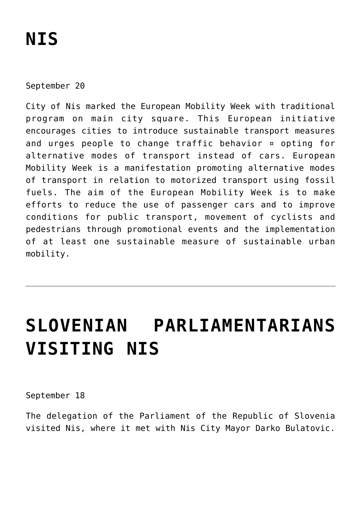# **[NIS](https://www.gu.ni.rs/2019/09/20/traditional-car-free-day-in-nis/)**

September 20

City of Nis marked the European Mobility Week with traditional program on main city square. This European initiative encourages cities to introduce sustainable transport measures and urges people to change traffic behavior – opting for alternative modes of transport instead of cars. European Mobility Week is a manifestation promoting alternative modes of transport in relation to motorized transport using fossil fuels. The aim of the European Mobility Week is to make efforts to reduce the use of passenger cars and to improve conditions for public transport, movement of cyclists and pedestrians through promotional events and the implementation of at least one sustainable measure of sustainable urban mobility.

## [SLOVENIAN PARLIAMENTARIANS](https://www.gu.ni.rs/2019/09/18/slovenian-parliamentarians-visiting-nis/) **[VISITING NIS](https://www.gu.ni.rs/2019/09/18/slovenian-parliamentarians-visiting-nis/)**

#### September 18

The delegation of the Parliament of the Republic of Slovenia visited Nis, where it met with Nis City Mayor Darko Bulatovic.